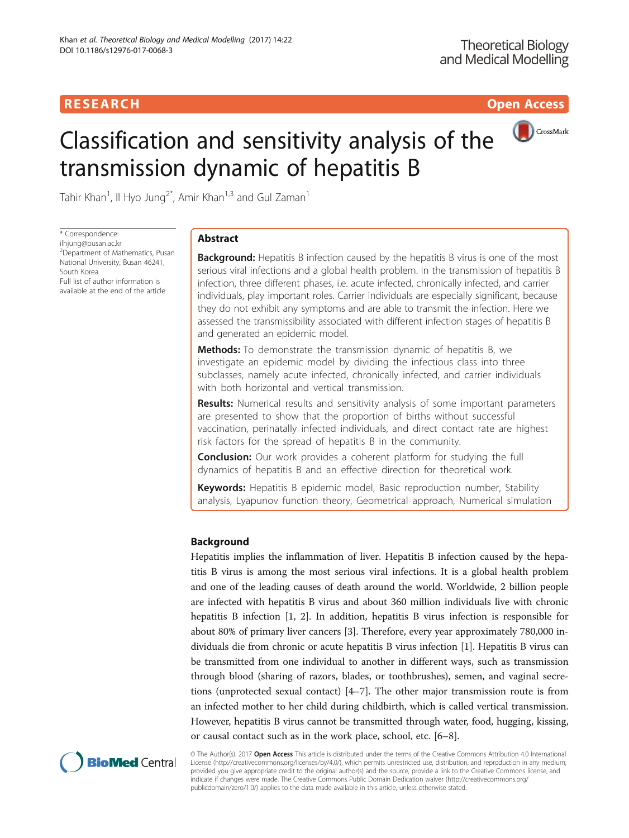## R E S EAR CH Open Access



# Classification and sensitivity analysis of the transmission dynamic of hepatitis B

Tahir Khan<sup>1</sup>, Il Hyo Jung<sup>2\*</sup>, Amir Khan<sup>1,3</sup> and Gul Zaman<sup>1</sup>

\* Correspondence: [ilhjung@pusan.ac.kr](mailto:ilhjung@pusan.ac.kr) <sup>2</sup> Department of Mathematics, Pusan National University, Busan 46241, South Korea Full list of author information is available at the end of the article

## Abstract

**Background:** Hepatitis B infection caused by the hepatitis B virus is one of the most serious viral infections and a global health problem. In the transmission of hepatitis B infection, three different phases, i.e. acute infected, chronically infected, and carrier individuals, play important roles. Carrier individuals are especially significant, because they do not exhibit any symptoms and are able to transmit the infection. Here we assessed the transmissibility associated with different infection stages of hepatitis B and generated an epidemic model.

Methods: To demonstrate the transmission dynamic of hepatitis B, we investigate an epidemic model by dividing the infectious class into three subclasses, namely acute infected, chronically infected, and carrier individuals with both horizontal and vertical transmission.

Results: Numerical results and sensitivity analysis of some important parameters are presented to show that the proportion of births without successful vaccination, perinatally infected individuals, and direct contact rate are highest risk factors for the spread of hepatitis B in the community.

**Conclusion:** Our work provides a coherent platform for studying the full dynamics of hepatitis B and an effective direction for theoretical work.

Keywords: Hepatitis B epidemic model, Basic reproduction number, Stability analysis, Lyapunov function theory, Geometrical approach, Numerical simulation

## Background

Hepatitis implies the inflammation of liver. Hepatitis B infection caused by the hepatitis B virus is among the most serious viral infections. It is a global health problem and one of the leading causes of death around the world. Worldwide, 2 billion people are infected with hepatitis B virus and about 360 million individuals live with chronic hepatitis B infection [\[1](#page-15-0), [2\]](#page-15-0). In addition, hepatitis B virus infection is responsible for about 80% of primary liver cancers [\[3](#page-16-0)]. Therefore, every year approximately 780,000 individuals die from chronic or acute hepatitis B virus infection [[1\]](#page-15-0). Hepatitis B virus can be transmitted from one individual to another in different ways, such as transmission through blood (sharing of razors, blades, or toothbrushes), semen, and vaginal secretions (unprotected sexual contact) [\[4](#page-16-0)–[7\]](#page-16-0). The other major transmission route is from an infected mother to her child during childbirth, which is called vertical transmission. However, hepatitis B virus cannot be transmitted through water, food, hugging, kissing, or causal contact such as in the work place, school, etc. [\[6](#page-16-0)–[8\]](#page-16-0).



© The Author(s). 2017 Open Access This article is distributed under the terms of the Creative Commons Attribution 4.0 International License ([http://creativecommons.org/licenses/by/4.0/\)](http://creativecommons.org/licenses/by/4.0/), which permits unrestricted use, distribution, and reproduction in any medium, provided you give appropriate credit to the original author(s) and the source, provide a link to the Creative Commons license, and indicate if changes were made. The Creative Commons Public Domain Dedication waiver ([http://creativecommons.org/](http://creativecommons.org/publicdomain/zero/1.0/) [publicdomain/zero/1.0/\)](http://creativecommons.org/publicdomain/zero/1.0/) applies to the data made available in this article, unless otherwise stated.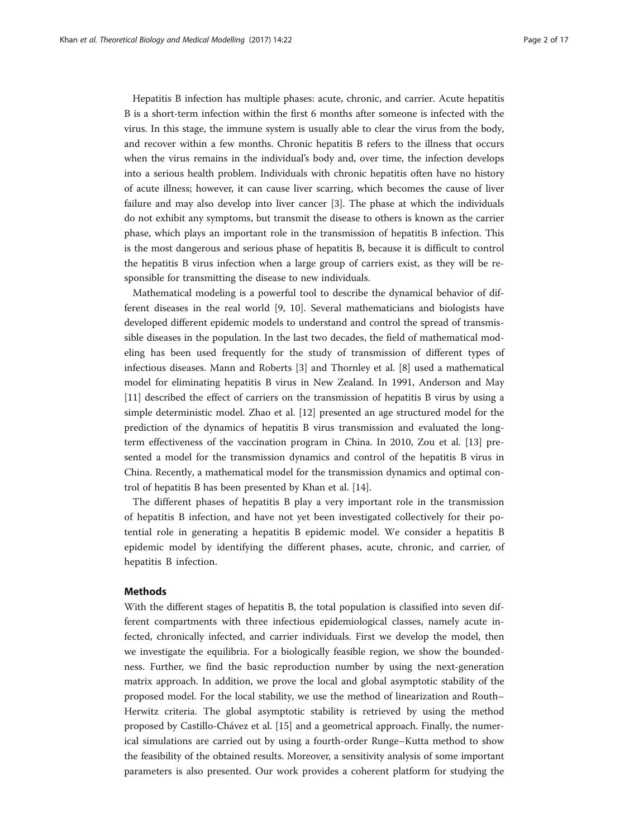Hepatitis B infection has multiple phases: acute, chronic, and carrier. Acute hepatitis B is a short-term infection within the first 6 months after someone is infected with the virus. In this stage, the immune system is usually able to clear the virus from the body, and recover within a few months. Chronic hepatitis B refers to the illness that occurs when the virus remains in the individual's body and, over time, the infection develops into a serious health problem. Individuals with chronic hepatitis often have no history of acute illness; however, it can cause liver scarring, which becomes the cause of liver failure and may also develop into liver cancer [[3](#page-16-0)]. The phase at which the individuals do not exhibit any symptoms, but transmit the disease to others is known as the carrier phase, which plays an important role in the transmission of hepatitis B infection. This is the most dangerous and serious phase of hepatitis B, because it is difficult to control the hepatitis B virus infection when a large group of carriers exist, as they will be responsible for transmitting the disease to new individuals.

Mathematical modeling is a powerful tool to describe the dynamical behavior of different diseases in the real world [\[9](#page-16-0), [10\]](#page-16-0). Several mathematicians and biologists have developed different epidemic models to understand and control the spread of transmissible diseases in the population. In the last two decades, the field of mathematical modeling has been used frequently for the study of transmission of different types of infectious diseases. Mann and Roberts [\[3](#page-16-0)] and Thornley et al. [[8\]](#page-16-0) used a mathematical model for eliminating hepatitis B virus in New Zealand. In 1991, Anderson and May [[11\]](#page-16-0) described the effect of carriers on the transmission of hepatitis B virus by using a simple deterministic model. Zhao et al. [\[12](#page-16-0)] presented an age structured model for the prediction of the dynamics of hepatitis B virus transmission and evaluated the longterm effectiveness of the vaccination program in China. In 2010, Zou et al. [[13\]](#page-16-0) presented a model for the transmission dynamics and control of the hepatitis B virus in China. Recently, a mathematical model for the transmission dynamics and optimal control of hepatitis B has been presented by Khan et al. [[14\]](#page-16-0).

The different phases of hepatitis B play a very important role in the transmission of hepatitis B infection, and have not yet been investigated collectively for their potential role in generating a hepatitis B epidemic model. We consider a hepatitis B epidemic model by identifying the different phases, acute, chronic, and carrier, of hepatitis B infection.

## Methods

With the different stages of hepatitis B, the total population is classified into seven different compartments with three infectious epidemiological classes, namely acute infected, chronically infected, and carrier individuals. First we develop the model, then we investigate the equilibria. For a biologically feasible region, we show the boundedness. Further, we find the basic reproduction number by using the next-generation matrix approach. In addition, we prove the local and global asymptotic stability of the proposed model. For the local stability, we use the method of linearization and Routh– Herwitz criteria. The global asymptotic stability is retrieved by using the method proposed by Castillo-Chávez et al. [\[15\]](#page-16-0) and a geometrical approach. Finally, the numerical simulations are carried out by using a fourth-order Runge–Kutta method to show the feasibility of the obtained results. Moreover, a sensitivity analysis of some important parameters is also presented. Our work provides a coherent platform for studying the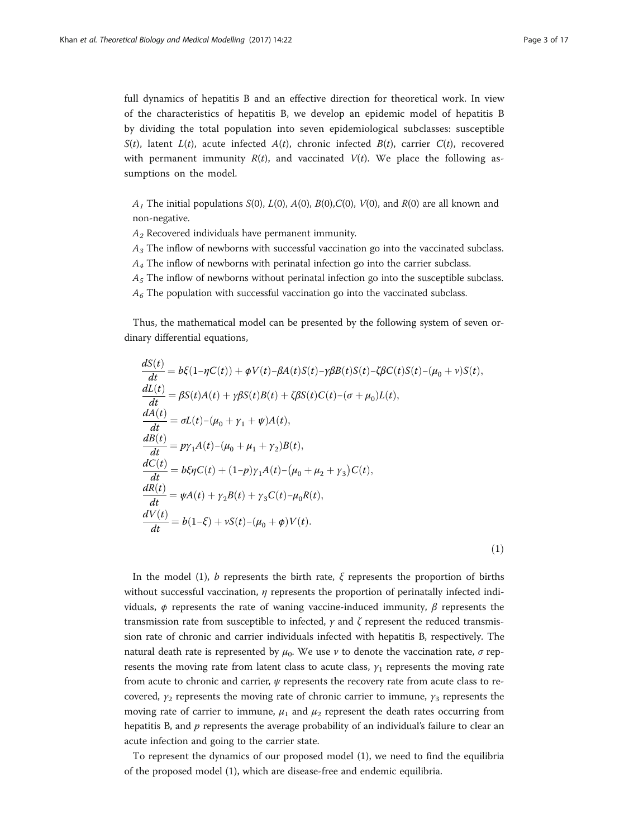full dynamics of hepatitis B and an effective direction for theoretical work. In view of the characteristics of hepatitis B, we develop an epidemic model of hepatitis B by dividing the total population into seven epidemiological subclasses: susceptible  $S(t)$ , latent  $L(t)$ , acute infected  $A(t)$ , chronic infected  $B(t)$ , carrier  $C(t)$ , recovered with permanent immunity  $R(t)$ , and vaccinated  $V(t)$ . We place the following assumptions on the model.

 $A_1$  The initial populations  $S(0)$ ,  $L(0)$ ,  $A(0)$ ,  $B(0)$ ,  $C(0)$ ,  $V(0)$ , and  $R(0)$  are all known and non-negative.

 $A<sub>2</sub>$  Recovered individuals have permanent immunity.

 $A_3$  The inflow of newborns with successful vaccination go into the vaccinated subclass.

 $A<sub>4</sub>$  The inflow of newborns with perinatal infection go into the carrier subclass.

 $A_5$  The inflow of newborns without perinatal infection go into the susceptible subclass.

 $A_6$  The population with successful vaccination go into the vaccinated subclass.

Thus, the mathematical model can be presented by the following system of seven ordinary differential equations,

$$
\frac{dS(t)}{dt} = b\xi(1-\eta C(t)) + \phi V(t) - \beta A(t)S(t) - \gamma \beta B(t)S(t) - \zeta \beta C(t)S(t) - (\mu_0 + \nu)S(t),\n\frac{dI(t)}{dt} = \beta S(t)A(t) + \gamma \beta S(t)B(t) + \zeta \beta S(t)C(t) - (\sigma + \mu_0)L(t),\n\frac{dA(t)}{dt} = \sigma L(t) - (\mu_0 + \gamma_1 + \psi)A(t),\n\frac{dB(t)}{dt} = p\gamma_1 A(t) - (\mu_0 + \mu_1 + \gamma_2)B(t),\n\frac{dC(t)}{dt} = b\xi \eta C(t) + (1-p)\gamma_1 A(t) - (\mu_0 + \mu_2 + \gamma_3)C(t),\n\frac{dR(t)}{dt} = \psi A(t) + \gamma_2 B(t) + \gamma_3 C(t) - \mu_0 R(t),\n\frac{dV(t)}{dt} = b(1-\xi) + \nu S(t) - (\mu_0 + \phi)V(t).
$$
\n(1)

In the model (1), b represents the birth rate,  $\xi$  represents the proportion of births without successful vaccination,  $\eta$  represents the proportion of perinatally infected individuals, φ represents the rate of waning vaccine-induced immunity,  $β$  represents the transmission rate from susceptible to infected,  $\gamma$  and  $\zeta$  represent the reduced transmission rate of chronic and carrier individuals infected with hepatitis B, respectively. The natural death rate is represented by  $μ_0$ . We use *ν* to denote the vaccination rate, *σ* represents the moving rate from latent class to acute class,  $\gamma_1$  represents the moving rate from acute to chronic and carrier,  $\psi$  represents the recovery rate from acute class to recovered,  $\gamma_2$  represents the moving rate of chronic carrier to immune,  $\gamma_3$  represents the moving rate of carrier to immune,  $\mu_1$  and  $\mu_2$  represent the death rates occurring from hepatitis B, and  $p$  represents the average probability of an individual's failure to clear an acute infection and going to the carrier state.

To represent the dynamics of our proposed model (1), we need to find the equilibria of the proposed model (1), which are disease-free and endemic equilibria.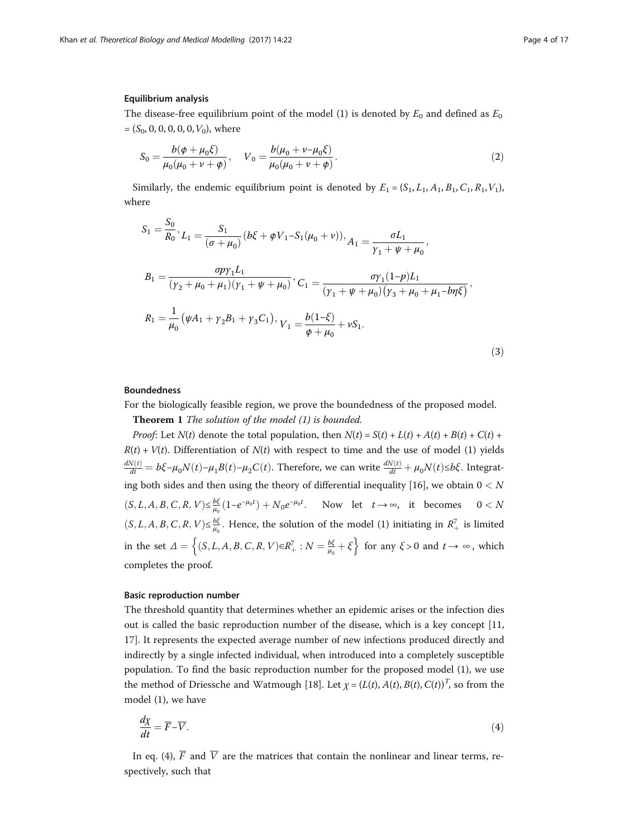## <span id="page-3-0"></span>Equilibrium analysis

The disease-free equilibrium point of the model (1) is denoted by  $E_0$  and defined as  $E_0$  $=(S_0, 0, 0, 0, 0, 0, V_0)$ , where

$$
S_0 = \frac{b(\phi + \mu_0 \xi)}{\mu_0(\mu_0 + \nu + \phi)}, \quad V_0 = \frac{b(\mu_0 + \nu - \mu_0 \xi)}{\mu_0(\mu_0 + \nu + \phi)}.
$$
\n(2)

Similarly, the endemic equilibrium point is denoted by  $E_1 = (S_1, L_1, A_1, B_1, C_1, R_1, V_1)$ , where

$$
S_1 = \frac{S_0}{R_0}, \quad\nL_1 = \frac{S_1}{(\sigma + \mu_0)} (b\xi + \phi V_1 - S_1(\mu_0 + \nu)), \quad\nA_1 = \frac{\sigma L_1}{\gamma_1 + \psi + \mu_0},
$$
\n
$$
B_1 = \frac{\sigma p \gamma_1 L_1}{(\gamma_2 + \mu_0 + \mu_1)(\gamma_1 + \psi + \mu_0)}, \quad\nC_1 = \frac{\sigma \gamma_1 (1 - \rho) L_1}{(\gamma_1 + \psi + \mu_0)(\gamma_3 + \mu_0 + \mu_1 - b\eta \xi)},
$$
\n
$$
R_1 = \frac{1}{\mu_0} (\psi A_1 + \gamma_2 B_1 + \gamma_3 C_1), \quad\nV_1 = \frac{b(1 - \xi)}{\phi + \mu_0} + \nu S_1.
$$
\n(3)

## Boundedness

For the biologically feasible region, we prove the boundedness of the proposed model.

Theorem 1 The solution of the model (1) is bounded.

*Proof*: Let  $N(t)$  denote the total population, then  $N(t) = S(t) + L(t) + A(t) + B(t) + C(t) +$  $R(t) + V(t)$ . Differentiation of  $N(t)$  with respect to time and the use of model (1) yields  $\frac{dN(t)}{dt} = b\xi - \mu_0 N(t) - \mu_1 B(t) - \mu_2 C(t)$ . Therefore, we can write  $\frac{dN(t)}{dt} + \mu_0 N(t) \le b\xi$ . Integrat-ing both sides and then using the theory of differential inequality [[16](#page-16-0)], we obtain  $0 < N$  $(S, L, A, B, C, R, V) \leq \frac{b\xi}{\mu_0} (1 - e^{-\mu_0 t}) + N_0 e^{-\mu_0 t}$ . Now let  $t \to \infty$ , it becomes  $0 < N_0$  $(S, L, A, B, C, R, V) \leq \frac{b\xi}{\mu_0}$ . Hence, the solution of the model (1) initiating in  $R_+^7$  is limited in the set  $\Delta = \left\{ (S, L, A, B, C, R, V) \in R_+^7 : N = \frac{b\xi}{\mu_0} + \xi \right\}$  for any  $\xi > 0$  and  $t \to \infty$ , which completes the proof.

## Basic reproduction number

The threshold quantity that determines whether an epidemic arises or the infection dies out is called the basic reproduction number of the disease, which is a key concept [[11](#page-16-0), [17](#page-16-0)]. It represents the expected average number of new infections produced directly and indirectly by a single infected individual, when introduced into a completely susceptible population. To find the basic reproduction number for the proposed model (1), we use the method of Driessche and Watmough [[18\]](#page-16-0). Let  $\chi = (L(t), A(t), B(t), C(t))^T$ , so from the model (1), we have

$$
\frac{d\chi}{dt} = \overline{F} - \overline{V}.\tag{4}
$$

In eq. (4),  $\overline{F}$  and  $\overline{V}$  are the matrices that contain the nonlinear and linear terms, respectively, such that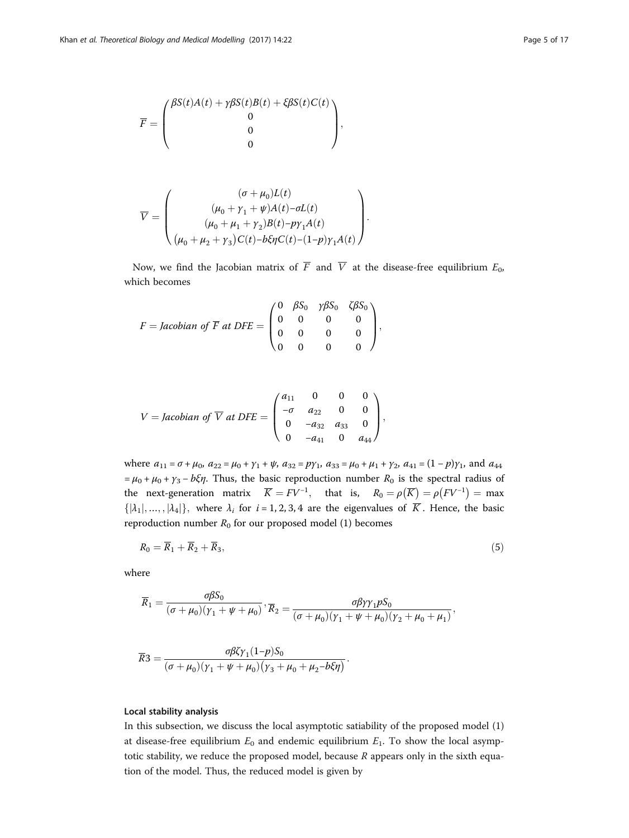$$
\overline{F} = \begin{pmatrix} \beta S(t)A(t) + \gamma \beta S(t)B(t) + \xi \beta S(t)C(t) \\ 0 \\ 0 \\ 0 \end{pmatrix},
$$

$$
\overline{V} = \left(\begin{matrix} (\sigma+\mu_0)L(t) \\ (\mu_0+\gamma_1+\psi)A(t)-\sigma L(t) \\ (\mu_0+\mu_1+\gamma_2)B(t)-p\gamma_1A(t) \\ (\mu_0+\mu_2+\gamma_3)C(t)-b\xi\eta C(t)-(1-p)\gamma_1A(t) \end{matrix}\right).
$$

Now, we find the Jacobian matrix of  $\overline{F}$  and  $\overline{V}$  at the disease-free equilibrium  $E_0$ , which becomes

$$
F = Jacobian \ of \ \overline{F} \ at \ DEF = \begin{pmatrix} 0 & \beta S_0 & \gamma \beta S_0 & \zeta \beta S_0 \\ 0 & 0 & 0 & 0 \\ 0 & 0 & 0 & 0 \\ 0 & 0 & 0 & 0 \end{pmatrix},
$$

$$
V = Jacobian \text{ of } \overline{V} \text{ at } DFE = \begin{pmatrix} a_{11} & 0 & 0 & 0 \\ -\sigma & a_{22} & 0 & 0 \\ 0 & -a_{32} & a_{33} & 0 \\ 0 & -a_{41} & 0 & a_{44} \end{pmatrix},
$$

where  $a_{11} = \sigma + \mu_0$ ,  $a_{22} = \mu_0 + \gamma_1 + \psi$ ,  $a_{32} = p\gamma_1$ ,  $a_{33} = \mu_0 + \mu_1 + \gamma_2$ ,  $a_{41} = (1 - p)\gamma_1$ , and  $a_{44}$ =  $\mu_0$  +  $\mu_0$  +  $\gamma_3$  –  $b\xi\eta$ . Thus, the basic reproduction number  $R_0$  is the spectral radius of the next-generation matrix  $\overline{K} = FV^{-1}$ , that is,  $R_0 = \rho(\overline{K}) = \rho(FV^{-1}) = \max_{K \in \overline{K}}$  $\{|\lambda_1|, ..., |\lambda_4|\}$ , where  $\lambda_i$  for  $i = 1, 2, 3, 4$  are the eigenvalues of  $\overline{K}$ . Hence, the basic reproduction number  $R_0$  for our proposed model (1) becomes

$$
R_0 = \overline{R}_1 + \overline{R}_2 + \overline{R}_3, \tag{5}
$$

where

$$
\overline{R}_1 = \frac{\sigma \beta S_0}{(\sigma + \mu_0)(\gamma_1 + \psi + \mu_0)}, \overline{R}_2 = \frac{\sigma \beta \gamma \gamma_1 \rho S_0}{(\sigma + \mu_0)(\gamma_1 + \psi + \mu_0)(\gamma_2 + \mu_0 + \mu_1)},
$$

$$
\overline{R}3 = \frac{\sigma \beta \zeta \gamma_1 (1-p) S_0}{(\sigma + \mu_0)(\gamma_1 + \psi + \mu_0)(\gamma_3 + \mu_0 + \mu_2 - b \xi \eta)}.
$$

## Local stability analysis

In this subsection, we discuss the local asymptotic satiability of the proposed model (1) at disease-free equilibrium  $E_0$  and endemic equilibrium  $E_1$ . To show the local asymptotic stability, we reduce the proposed model, because  $R$  appears only in the sixth equation of the model. Thus, the reduced model is given by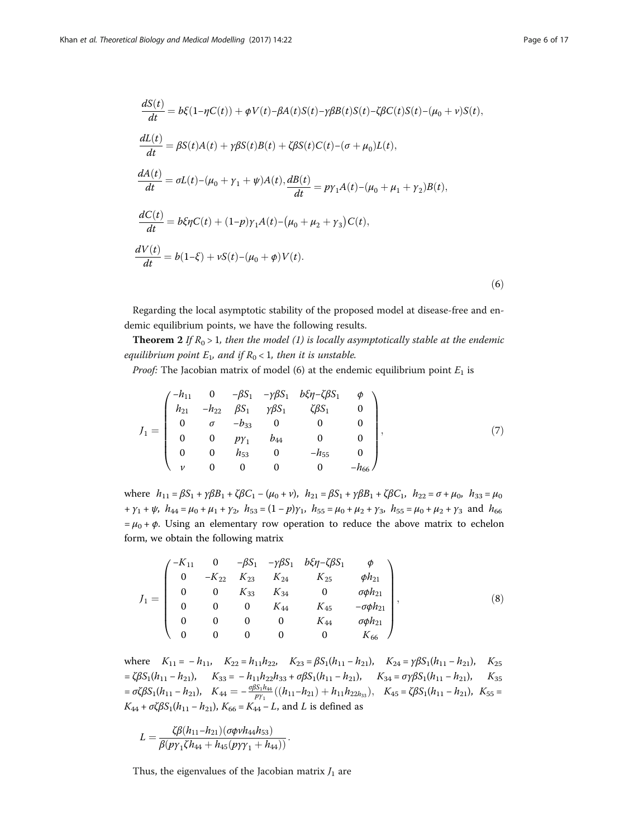$$
\frac{dS(t)}{dt} = b\xi(1-\eta C(t)) + \phi V(t) - \beta A(t)S(t) - \gamma \beta B(t)S(t) - \zeta \beta C(t)S(t) - (\mu_0 + \nu)S(t),
$$
  
\n
$$
\frac{dL(t)}{dt} = \beta S(t)A(t) + \gamma \beta S(t)B(t) + \zeta \beta S(t)C(t) - (\sigma + \mu_0)L(t),
$$
  
\n
$$
\frac{dA(t)}{dt} = \sigma L(t) - (\mu_0 + \gamma_1 + \psi)A(t), \frac{dB(t)}{dt} = p\gamma_1 A(t) - (\mu_0 + \mu_1 + \gamma_2)B(t),
$$
  
\n
$$
\frac{dC(t)}{dt} = b\xi\eta C(t) + (1-p)\gamma_1 A(t) - (\mu_0 + \mu_2 + \gamma_3)C(t),
$$
  
\n
$$
\frac{dV(t)}{dt} = b(1-\xi) + \nu S(t) - (\mu_0 + \phi)V(t).
$$
  
\n(6)

Regarding the local asymptotic stability of the proposed model at disease-free and endemic equilibrium points, we have the following results.

**Theorem 2** If  $R_0 > 1$ , then the model (1) is locally asymptotically stable at the endemic equilibrium point  $E_1$ , and if  $R_0 < 1$ , then it is unstable.

*Proof:* The Jacobian matrix of model (6) at the endemic equilibrium point  $E_1$  is

$$
J_{1} = \begin{pmatrix} -h_{11} & 0 & -\beta S_{1} & -\gamma \beta S_{1} & b\xi \eta - \zeta \beta S_{1} & \phi \\ h_{21} & -h_{22} & \beta S_{1} & \gamma \beta S_{1} & \zeta \beta S_{1} & 0 \\ 0 & \sigma & -b_{33} & 0 & 0 & 0 \\ 0 & 0 & p\gamma_{1} & b_{44} & 0 & 0 \\ 0 & 0 & h_{53} & 0 & -h_{55} & 0 \\ \gamma & 0 & 0 & 0 & 0 & -h_{66} \end{pmatrix},
$$
(7)

where  $h_{11} = \beta S_1 + \gamma \beta B_1 + \zeta \beta C_1 - (\mu_0 + \nu)$ ,  $h_{21} = \beta S_1 + \gamma \beta B_1 + \zeta \beta C_1$ ,  $h_{22} = \sigma + \mu_0$ ,  $h_{33} = \mu_0$ +  $\gamma_1$  +  $\psi$ ,  $h_{44} = \mu_0 + \mu_1 + \gamma_2$ ,  $h_{53} = (1 - p)\gamma_1$ ,  $h_{55} = \mu_0 + \mu_2 + \gamma_3$ ,  $h_{55} = \mu_0 + \mu_2 + \gamma_3$  and  $h_{66}$  $= \mu_0 + \phi$ . Using an elementary row operation to reduce the above matrix to echelon form, we obtain the following matrix

$$
J_1 = \begin{pmatrix} -K_{11} & 0 & -\beta S_1 & -\gamma \beta S_1 & b\xi \eta - \zeta \beta S_1 & \phi \\ 0 & -K_{22} & K_{23} & K_{24} & K_{25} & \phi h_{21} \\ 0 & 0 & K_{33} & K_{34} & 0 & \sigma \phi h_{21} \\ 0 & 0 & 0 & K_{44} & K_{45} & -\sigma \phi h_{21} \\ 0 & 0 & 0 & 0 & K_{44} & \sigma \phi h_{21} \\ 0 & 0 & 0 & 0 & 0 & K_{66} \end{pmatrix},
$$
(8)

where  $K_{11} = -h_{11}$ ,  $K_{22} = h_{11}h_{22}$ ,  $K_{23} = \beta S_1(h_{11} - h_{21})$ ,  $K_{24} = \gamma \beta S_1(h_{11} - h_{21})$ ,  $K_{25}$  $= ζβS<sub>1</sub>(h<sub>11</sub> − h<sub>21</sub>),$   $K<sub>33</sub> = − h<sub>11</sub>h<sub>22</sub>h<sub>33</sub> + σβS<sub>1</sub>(h<sub>11</sub> − h<sub>21</sub>),$   $K<sub>34</sub> = σγβS<sub>1</sub>(h<sub>11</sub> − h<sub>21</sub>),$   $K<sub>35</sub>$  $= σζβS<sub>1</sub>(h<sub>11</sub> - h<sub>21</sub>), K<sub>44</sub> = - $\frac{σβS<sub>1</sub>h<sub>44</sub>}{p<sub>Y_1}</sub>((h<sub>11</sub> - h<sub>21</sub>) + h<sub>11</sub>h<sub>22h<sub>33</sub>}), K<sub>45</sub> = ζβS<sub>1</sub>(h<sub>11</sub> - h<sub>21</sub>), K<sub>55</sub> =</sub>$$  $K_{44}$  +  $\sigma\zeta\beta S_1(h_{11} - h_{21})$ ,  $K_{66} = K_{44} - L$ , and L is defined as

$$
L = \frac{\zeta \beta (h_{11} - h_{21})(\sigma \phi v h_{44} h_{53})}{\beta (p \gamma_1 \zeta h_{44} + h_{45}(p \gamma \gamma_1 + h_{44}))}.
$$

Thus, the eigenvalues of the Jacobian matrix  $J_1$  are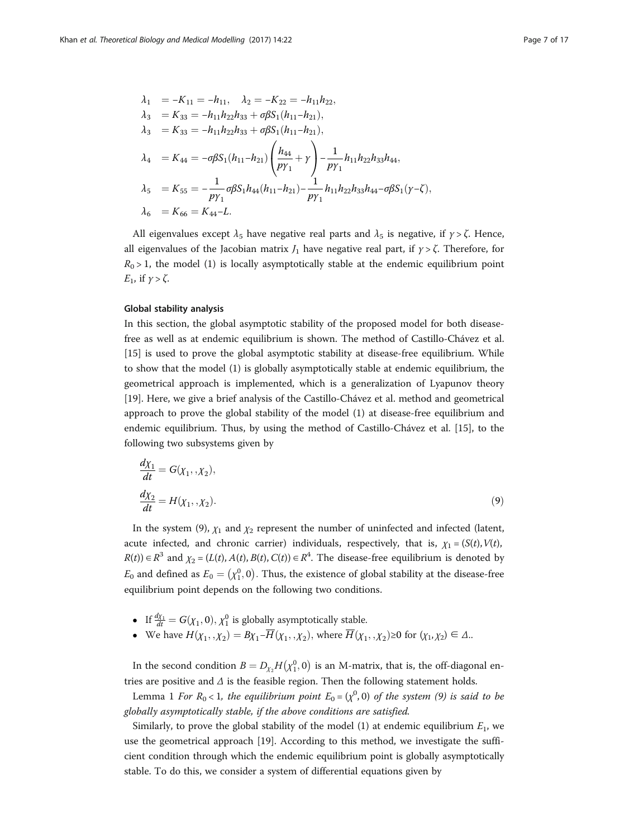$$
\lambda_1 = -K_{11} = -h_{11}, \quad \lambda_2 = -K_{22} = -h_{11}h_{22},
$$
\n
$$
\lambda_3 = K_{33} = -h_{11}h_{22}h_{33} + \sigma\beta S_1(h_{11} - h_{21}),
$$
\n
$$
\lambda_3 = K_{33} = -h_{11}h_{22}h_{33} + \sigma\beta S_1(h_{11} - h_{21}),
$$
\n
$$
\lambda_4 = K_{44} = -\sigma\beta S_1(h_{11} - h_{21}) \left(\frac{h_{44}}{p\gamma_1} + \gamma\right) - \frac{1}{p\gamma_1}h_{11}h_{22}h_{33}h_{44},
$$
\n
$$
\lambda_5 = K_{55} = -\frac{1}{p\gamma_1}\sigma\beta S_1h_{44}(h_{11} - h_{21}) - \frac{1}{p\gamma_1}h_{11}h_{22}h_{33}h_{44} - \sigma\beta S_1(\gamma - \zeta),
$$
\n
$$
\lambda_6 = K_{66} = K_{44} - L.
$$

All eigenvalues except  $\lambda_5$  have negative real parts and  $\lambda_5$  is negative, if  $\gamma > \zeta$ . Hence, all eigenvalues of the Jacobian matrix  $J_1$  have negative real part, if  $\gamma > \zeta$ . Therefore, for  $R_0 > 1$ , the model (1) is locally asymptotically stable at the endemic equilibrium point  $E_1$ , if  $\gamma > \zeta$ .

## Global stability analysis

In this section, the global asymptotic stability of the proposed model for both diseasefree as well as at endemic equilibrium is shown. The method of Castillo-Chávez et al. [[15\]](#page-16-0) is used to prove the global asymptotic stability at disease-free equilibrium. While to show that the model (1) is globally asymptotically stable at endemic equilibrium, the geometrical approach is implemented, which is a generalization of Lyapunov theory [[19\]](#page-16-0). Here, we give a brief analysis of the Castillo-Chávez et al. method and geometrical approach to prove the global stability of the model (1) at disease-free equilibrium and endemic equilibrium. Thus, by using the method of Castillo-Chávez et al. [[15\]](#page-16-0), to the following two subsystems given by

$$
\frac{d\chi_1}{dt} = G(\chi_1, \chi_2),
$$
  

$$
\frac{d\chi_2}{dt} = H(\chi_1, \chi_2).
$$
 (9)

In the system (9),  $\chi_1$  and  $\chi_2$  represent the number of uninfected and infected (latent, acute infected, and chronic carrier) individuals, respectively, that is,  $\chi_1 = (S(t), V(t),$  $R(t)$ )  $\in$   $R^3$  and  $\chi_2$  = ( $L(t)$ ,  $A(t)$ ,  $B(t)$ ,  $C(t)$ )  $\in$   $R^4$ . The disease-free equilibrium is denoted by  $E_0$  and defined as  $E_0 = (\chi_1^0, 0)$ . Thus, the existence of global stability at the disease-free equilibrium point depends on the following two conditions.

- If  $\frac{dy_1}{dt} = G(\chi_1, 0), \chi_1^0$  is globally asymptotically stable.
- We have  $H(\chi_1, \chi_2) = B\chi_1 \overline{H}(\chi_1, \chi_2)$ , where  $\overline{H}(\chi_1, \chi_2) \ge 0$  for  $(\chi_1, \chi_2) \in \Delta$ .

In the second condition  $B = D_{\chi_2} H(\chi_1^0, 0)$  is an M-matrix, that is, the off-diagonal entries are positive and  $\Delta$  is the feasible region. Then the following statement holds.

Lemma 1 For  $R_0 < 1$ , the equilibrium point  $E_0 = (\chi^0, 0)$  of the system (9) is said to be globally asymptotically stable, if the above conditions are satisfied.

Similarly, to prove the global stability of the model (1) at endemic equilibrium  $E_1$ , we use the geometrical approach [[19\]](#page-16-0). According to this method, we investigate the sufficient condition through which the endemic equilibrium point is globally asymptotically stable. To do this, we consider a system of differential equations given by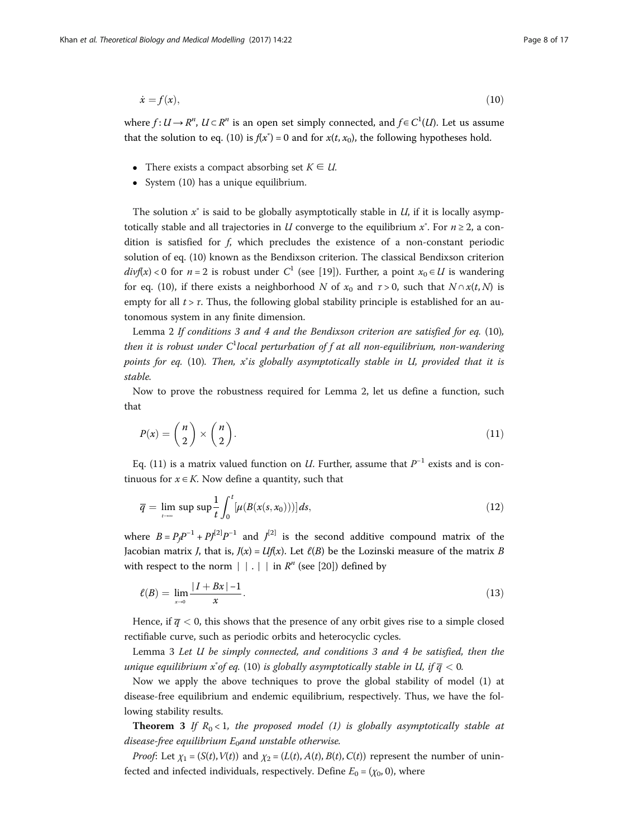<span id="page-7-0"></span>
$$
\dot{x} = f(x),\tag{10}
$$

where  $f: U \to R^n$ ,  $U \subset R^n$  is an open set simply connected, and  $f \in C^1(U)$ . Let us assume that the solution to eq. (10) is  $f(x^*) = 0$  and for  $x(t, x_0)$ , the following hypotheses hold.

- There exists a compact absorbing set  $K \in U$ .
- System (10) has a unique equilibrium.

The solution  $x^*$  is said to be globally asymptotically stable in U, if it is locally asymptotically stable and all trajectories in U converge to the equilibrium  $x^*$ . For  $n \ge 2$ , a condition is satisfied for  $f$ , which precludes the existence of a non-constant periodic solution of eq. (10) known as the Bendixson criterion. The classical Bendixson criterion  $divf(x) < 0$  for  $n = 2$  is robust under  $C^1$  (see [[19\]](#page-16-0)). Further, a point  $x_0 \in U$  is wandering for eq. (10), if there exists a neighborhood N of  $x_0$  and  $\tau > 0$ , such that  $N \cap x(t, N)$  is empty for all  $t > \tau$ . Thus, the following global stability principle is established for an autonomous system in any finite dimension.

Lemma 2 If conditions [3](#page-3-0) and [4](#page-3-0) and the Bendixson criterion are satisfied for eq. (10), then it is robust under  $C^1$ local perturbation of f at all non-equilibrium, non-wandering points for eq. (10). Then, x<sup>\*</sup>is globally asymptotically stable in U, provided that it is stable.

Now to prove the robustness required for Lemma 2, let us define a function, such that

$$
P(x) = \binom{n}{2} \times \binom{n}{2}.\tag{11}
$$

Eq. (11) is a matrix valued function on U. Further, assume that  $P^{-1}$  exists and is continuous for  $x \in K$ . Now define a quantity, such that

$$
\overline{q} = \lim_{t \to \infty} \sup \sup \frac{1}{t} \int_0^t [\mu(B(x(s, x_0)))] ds,
$$
\n(12)

where  $B = P_f P^{-1} + P_J^{[2]} P^{-1}$  and  $J^{[2]}$  is the second additive compound matrix of the Jacobian matrix *J*, that is,  $J(x) = Uf(x)$ . Let  $\ell(B)$  be the Lozinski measure of the matrix *B* with respect to the norm  $|| \cdot || \cdot ||$  in  $\mathbb{R}^n$  (see [\[20](#page-16-0)]) defined by

$$
\ell(B) = \lim_{x \to 0} \frac{|I + Bx| - 1}{x}.
$$
\n(13)

Hence, if  $\overline{q}$  < 0, this shows that the presence of any orbit gives rise to a simple closed rectifiable curve, such as periodic orbits and heterocyclic cycles.

Lemma 3 Let U be simply connected, and conditions 3 and 4 be satisfied, then the unique equilibrium  $x^*$ of eq. (10) is globally asymptotically stable in U, if  $\overline{q} < 0$ .

Now we apply the above techniques to prove the global stability of model (1) at disease-free equilibrium and endemic equilibrium, respectively. Thus, we have the following stability results.

**Theorem 3** If  $R_0 < 1$ , the proposed model (1) is globally asymptotically stable at disease-free equilibrium  $E_0$ and unstable otherwise.

*Proof:* Let  $\chi_1 = (S(t), V(t))$  and  $\chi_2 = (L(t), A(t), B(t), C(t))$  represent the number of uninfected and infected individuals, respectively. Define  $E_0 = (\chi_0, 0)$ , where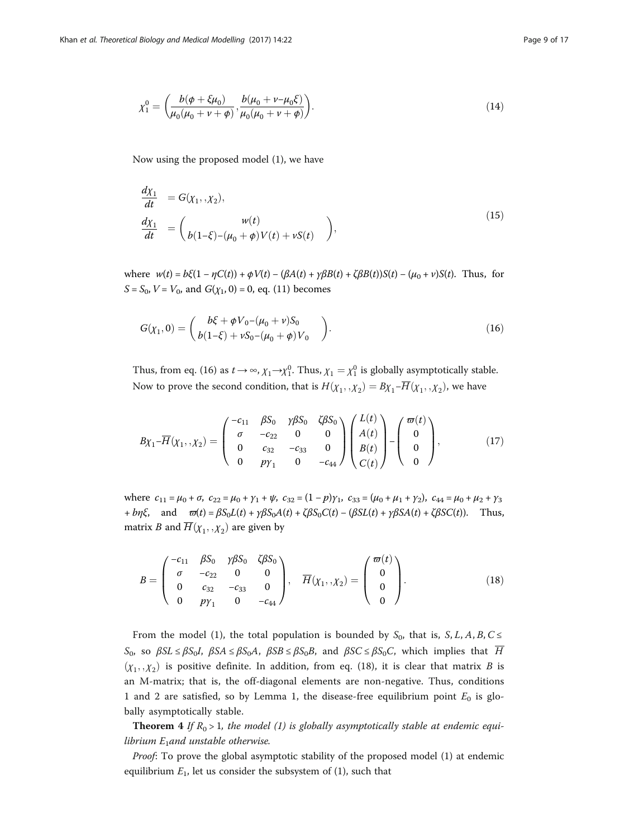$$
\chi_1^0 = \left( \frac{b(\phi + \xi \mu_0)}{\mu_0(\mu_0 + \nu + \phi)}, \frac{b(\mu_0 + \nu - \mu_0 \xi)}{\mu_0(\mu_0 + \nu + \phi)} \right). \tag{14}
$$

Now using the proposed model (1), we have

$$
\begin{aligned}\n\frac{d\chi_1}{dt} &= G(\chi_1, \chi_2),\\
\frac{d\chi_1}{dt} &= \begin{pmatrix} w(t) \\ b(1-\xi) - (\mu_0 + \phi)V(t) + \nu S(t) \end{pmatrix},\n\end{aligned} \tag{15}
$$

where  $w(t) = b\xi(1 - \eta C(t)) + \phi V(t) - (\beta A(t) + \gamma \beta B(t) + \zeta \beta B(t))S(t) - (\mu_0 + \nu)S(t)$ . Thus, for  $S = S_0$ ,  $V = V_0$ , and  $G(\chi_1, 0) = 0$ , eq. [\(11\)](#page-7-0) becomes

$$
G(\chi_1, 0) = \begin{pmatrix} b\xi + \phi V_0 - (\mu_0 + \nu)S_0 \\ b(1-\xi) + \nu S_0 - (\mu_0 + \phi)V_0 \end{pmatrix}.
$$
 (16)

Thus, from eq. (16) as  $t \to \infty$ ,  $\chi_1 \to \chi_1^0$ . Thus,  $\chi_1 = \chi_1^0$  is globally asymptotically stable. Now to prove the second condition, that is  $H(\chi_1, \chi_2) = B\chi_1 - \overline{H}(\chi_1, \chi_2)$ , we have

$$
B\chi_1 - \overline{H}(\chi_1, \chi_2) = \begin{pmatrix} -c_{11} & \beta S_0 & \gamma \beta S_0 & \zeta \beta S_0 \\ \sigma & -c_{22} & 0 & 0 \\ 0 & c_{32} & -c_{33} & 0 \\ 0 & p\gamma_1 & 0 & -c_{44} \end{pmatrix} \begin{pmatrix} L(t) \\ A(t) \\ B(t) \\ C(t) \end{pmatrix} - \begin{pmatrix} \overline{\omega}(t) \\ 0 \\ 0 \\ 0 \end{pmatrix}, \qquad (17)
$$

where  $c_{11} = \mu_0 + \sigma$ ,  $c_{22} = \mu_0 + \gamma_1 + \psi$ ,  $c_{32} = (1 - p)\gamma_1$ ,  $c_{33} = (\mu_0 + \mu_1 + \gamma_2)$ ,  $c_{44} = \mu_0 + \mu_2 + \gamma_3$ + bηξ, and  $\varpi(t) = \beta S_0 L(t) + \gamma \beta S_0 A(t) + \zeta \beta S_0 C(t) - (\beta S L(t) + \gamma \beta S A(t) + \zeta \beta S C(t))$ . Thus, matrix *B* and  $\overline{H}(\chi_1, \chi_2)$  are given by

$$
B = \begin{pmatrix} -c_{11} & \beta S_0 & \gamma \beta S_0 & \zeta \beta S_0 \\ \sigma & -c_{22} & 0 & 0 \\ 0 & c_{32} & -c_{33} & 0 \\ 0 & p\gamma_1 & 0 & -c_{44} \end{pmatrix}, \quad \overline{H}(\chi_1, \chi_2) = \begin{pmatrix} \varpi(t) \\ 0 \\ 0 \\ 0 \end{pmatrix}.
$$
 (18)

From the model (1), the total population is bounded by  $S_0$ , that is,  $S, L, A, B, C \leq$  $S_0$ , so  $\beta SL \leq \beta S_0 I$ ,  $\beta SA \leq \beta S_0 A$ ,  $\beta SB \leq \beta S_0 B$ , and  $\beta SC \leq \beta S_0 C$ , which implies that  $\overline{H}$  $(\chi_1, \chi_2)$  is positive definite. In addition, from eq. (18), it is clear that matrix B is an M-matrix; that is, the off-diagonal elements are non-negative. Thus, conditions 1 and 2 are satisfied, so by Lemma 1, the disease-free equilibrium point  $E_0$  is globally asymptotically stable.

**Theorem 4** If  $R_0 > 1$ , the model (1) is globally asymptotically stable at endemic equilibrium  $E_1$ and unstable otherwise.

Proof: To prove the global asymptotic stability of the proposed model (1) at endemic equilibrium  $E_1$ , let us consider the subsystem of (1), such that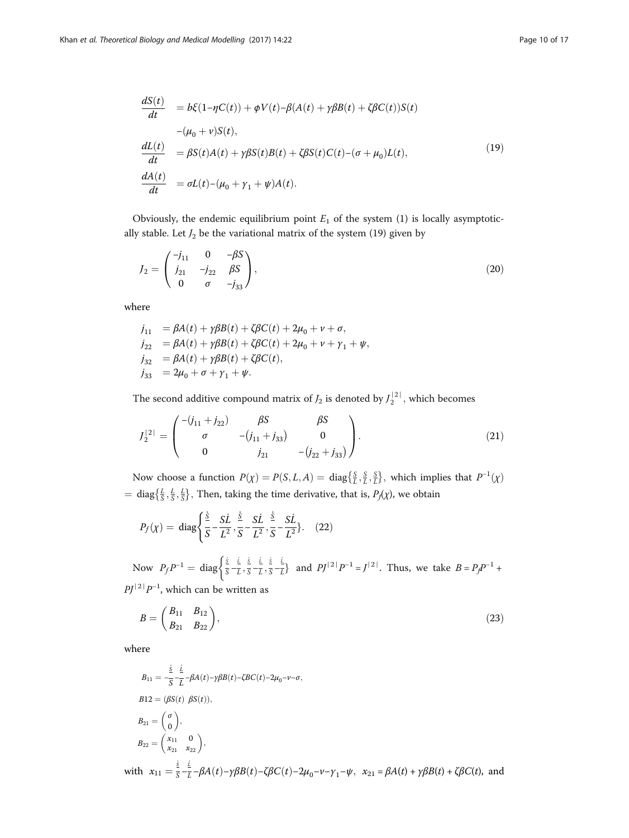$$
\frac{dS(t)}{dt} = b\xi(1-\eta C(t)) + \phi V(t) - \beta(A(t) + \gamma \beta B(t) + \zeta \beta C(t))S(t)
$$
  
\n
$$
-(\mu_0 + \nu)S(t),
$$
  
\n
$$
\frac{dL(t)}{dt} = \beta S(t)A(t) + \gamma \beta S(t)B(t) + \zeta \beta S(t)C(t) - (\sigma + \mu_0)L(t),
$$
  
\n
$$
\frac{dA(t)}{dt} = \sigma L(t) - (\mu_0 + \gamma_1 + \psi)A(t).
$$
\n(19)

Obviously, the endemic equilibrium point  $E_1$  of the system (1) is locally asymptotically stable. Let  $J_2$  be the variational matrix of the system (19) given by

$$
J_2 = \begin{pmatrix} -j_{11} & 0 & -\beta S \\ j_{21} & -j_{22} & \beta S \\ 0 & \sigma & -j_{33} \end{pmatrix},
$$
 (20)

where

$$
j_{11} = \beta A(t) + \gamma \beta B(t) + \zeta \beta C(t) + 2\mu_0 + \nu + \sigma,
$$
  
\n
$$
j_{22} = \beta A(t) + \gamma \beta B(t) + \zeta \beta C(t) + 2\mu_0 + \nu + \gamma_1 + \psi,
$$
  
\n
$$
j_{32} = \beta A(t) + \gamma \beta B(t) + \zeta \beta C(t),
$$
  
\n
$$
j_{33} = 2\mu_0 + \sigma + \gamma_1 + \psi.
$$

The second additive compound matrix of  $J_2$  is denoted by  $J_2^{\{2\}}$ , which becomes

$$
J_2^{[2]} = \begin{pmatrix} -(j_{11} + j_{22}) & \beta S & \beta S \\ \sigma & -(j_{11} + j_{33}) & 0 \\ 0 & j_{21} & -(j_{22} + j_{33}) \end{pmatrix}.
$$
 (21)

Now choose a function  $P(\chi) = P(S, L, A) = \text{diag}\left\{\frac{S}{L}, \frac{S}{L}, \frac{S}{L}\right\}$ , which implies that  $P^{-1}(\chi)$ = diag $\{\frac{L}{S}, \frac{L}{S}, \frac{L}{S}\}$ , Then, taking the time derivative, that is,  $P_f(\chi)$ , we obtain

$$
P_f(\chi) = \text{diag}\left\{\frac{\dot{S}}{S} - \frac{S\dot{L}}{L^2}, \frac{\dot{S}}{S} - \frac{S\dot{L}}{L^2}, \frac{\dot{S}}{S} - \frac{S\dot{L}}{L^2}\right\}.
$$
 (22)

Now  $P_f P^{-1} = \text{diag}\bigg\{\frac{\dot{s}}{s} - \frac{\dot{t}}{L}, \frac{\dot{s}}{s} - \frac{\dot{t}}{L}, \frac{\dot{s}}{s} - \frac{\dot{t}}{L}\bigg\}$  $L^{\int}$  $\{\frac{\dot{z}}{s} - \frac{i}{L}, \frac{\dot{z}}{s} - \frac{i}{L}, \frac{\dot{z}}{s} - \frac{i}{L}\}$  and  $PJ^{|2|}P^{-1} = J^{|2|}$ . Thus, we take  $B = P_f P^{-1}$  +  $PI^{|2|}P^{-1}$ , which can be written as

$$
B = \begin{pmatrix} B_{11} & B_{12} \\ B_{21} & B_{22} \end{pmatrix},\tag{23}
$$

where

$$
B_{11} = -\frac{\dot{s}}{S} - \frac{\dot{L}}{L} - \beta A(t) - \gamma \beta B(t) - \zeta BC(t) - 2\mu_0 - v - \sigma,
$$
  
\n
$$
B_{12} = (\beta S(t) \beta S(t)),
$$
  
\n
$$
B_{21} = \begin{pmatrix} \sigma \\ 0 \end{pmatrix},
$$
  
\n
$$
B_{22} = \begin{pmatrix} x_{11} & 0 \\ x_{21} & x_{22} \end{pmatrix},
$$
  
\nwith  $x_{11} = \frac{\dot{s}}{S} - \frac{\dot{L}}{L} - \beta A(t) - \gamma \beta B(t) - \zeta \beta C(t) - 2\mu_0 - v - \gamma_1 - \psi, \quad x_{21} = \beta A(t) + \gamma \beta B(t) + \zeta \beta C(t),$  and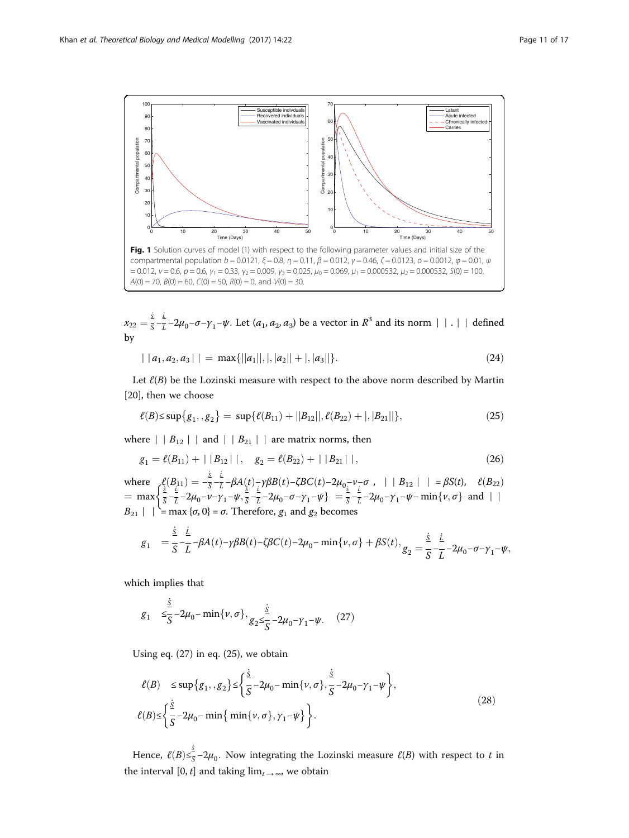<span id="page-10-0"></span>

= 0.012,  $v = 0.6$ ,  $p = 0.6$ ,  $\gamma_1 = 0.33$ ,  $\gamma_2 = 0.009$ ,  $\gamma_3 = 0.025$ ,  $\mu_0 = 0.069$ ,  $\mu_1 = 0.000532$ ,  $\mu_2 = 0.000532$ ,  $S(0) = 100$ ,  $A(0) = 70$ ,  $B(0) = 60$ ,  $C(0) = 50$ ,  $R(0) = 0$ , and  $V(0) = 30$ .

 $x_{22} = \frac{\dot{s}}{s} - \frac{\dot{t}}{L} - 2\mu_0 - \sigma - \gamma_1 - \psi$ . Let  $(a_1, a_2, a_3)$  be a vector in  $R^3$  and its norm  $| \cdot | \cdot |$  defined by

 $| |a_1, a_2, a_3| | = \max\{||a_1||, |, |a_2|| + |, |a_3||\}.$  (24)

Let  $\ell(B)$  be the Lozinski measure with respect to the above norm described by Martin [[20\]](#page-16-0), then we choose

$$
\ell(B) \le \sup\{g_1, g_2\} = \sup\{\ell(B_{11}) + ||B_{12}||, \ell(B_{22}) + ||B_{21}||\},\tag{25}
$$

where  $| |B_{12}| |$  and  $| |B_{21}| |$  are matrix norms, then

$$
g_1 = \ell(B_{11}) + |B_{12}| \, , \quad g_2 = \ell(B_{22}) + |B_{21}| \, , \tag{26}
$$

where  $\ell(B_{11}) = -\frac{\dot{s}}{5} - \frac{\dot{L}}{L} - \beta A(t) - \gamma \beta B(t) - \zeta BC(t) - 2\mu_0 - \nu_0 \frac{\dot{s}}{L} + \frac{\dot{L}}{L} - \beta B(t), \quad \ell(B_{22})$ = max  $\left\{\frac{\frac{3}{5} - \frac{1}{L} - 2\mu_0 - \nu - \gamma_1 - \psi, \frac{5}{5} - \frac{1}{L} - 2\mu_0 - \sigma - \gamma_1 - \psi\right\}$  =  $\frac{\frac{3}{5} - \frac{1}{L} - 2\mu_0 - \gamma_1 - \psi - \min\{\nu, \sigma\}$  and ||<br>  $B_{21}$  | | = max { $\sigma$ , 0} =  $\sigma$ . Therefore,  $g_1$  and  $g_2$  becomes

$$
g_1 = \frac{\dot{s}}{S} \frac{\dot{t}}{L} - \beta A(t) - \gamma \beta B(t) - \zeta \beta C(t) - 2\mu_0 - \min\{\nu, \sigma\} + \beta S(t), g_2 = \frac{\dot{s}}{S} \frac{\dot{t}}{L} - 2\mu_0 - \sigma - \gamma_1 - \psi,
$$

which implies that

$$
g_1 \leq \frac{\dot{s}}{S} - 2\mu_0 - \min\{v, \sigma\}, g_2 \leq \frac{\dot{s}}{S} - 2\mu_0 - \gamma_1 - \psi. \tag{27}
$$

Using eq. (27) in eq. (25), we obtain

$$
\ell(B) \le \sup\{g_1, g_2\} \le \left\{\frac{\dot{s}}{S} - 2\mu_0 - \min\{\nu, \sigma\}, \frac{\dot{s}}{S} - 2\mu_0 - \gamma_1 - \psi\right\},
$$
\n
$$
\ell(B) \le \left\{\frac{\dot{s}}{S} - 2\mu_0 - \min\{\min\{\nu, \sigma\}, \gamma_1 - \psi\}\right\}.
$$
\n(28)

Hence,  $\ell(B) \leq \frac{s}{5} - 2\mu_0$ . Now integrating the Lozinski measure  $\ell(B)$  with respect to t in the interval [0, t] and taking  $\lim_{t \to \infty}$ , we obtain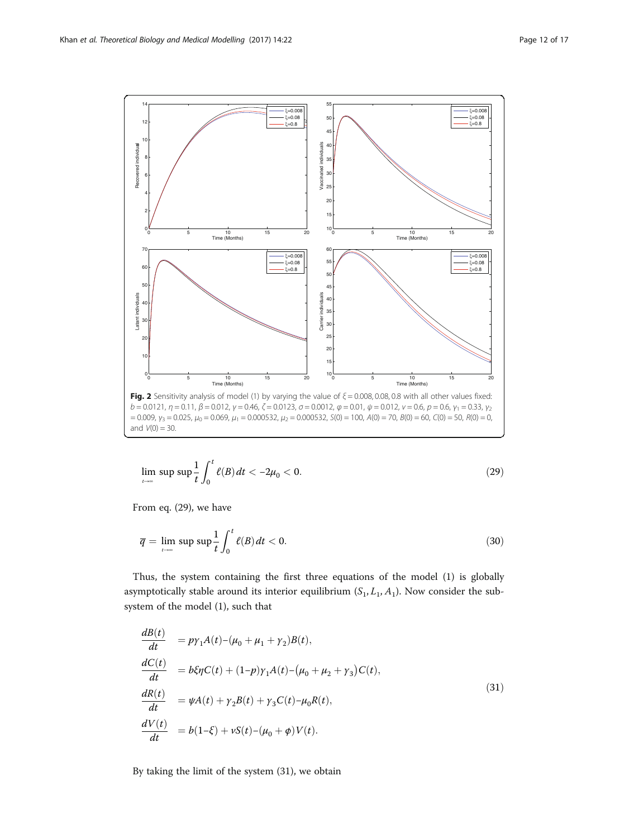<span id="page-11-0"></span>

$$
\lim_{t \to \infty} \sup \sup \frac{1}{t} \int_0^t \ell(B) \, dt < -2\mu_0 < 0. \tag{29}
$$

From eq. (29), we have

$$
\overline{q} = \lim_{t \to \infty} \sup \sup \frac{1}{t} \int_0^t \ell(B) dt < 0. \tag{30}
$$

Thus, the system containing the first three equations of the model (1) is globally asymptotically stable around its interior equilibrium  $(S_1, L_1, A_1)$ . Now consider the subsystem of the model (1), such that

$$
\frac{dB(t)}{dt} = p\gamma_1 A(t) - (\mu_0 + \mu_1 + \gamma_2)B(t),
$$
\n
$$
\frac{dC(t)}{dt} = b\xi\eta C(t) + (1-p)\gamma_1 A(t) - (\mu_0 + \mu_2 + \gamma_3)C(t),
$$
\n
$$
\frac{dR(t)}{dt} = \psi A(t) + \gamma_2 B(t) + \gamma_3 C(t) - \mu_0 R(t),
$$
\n
$$
\frac{dV(t)}{dt} = b(1-\xi) + \nu S(t) - (\mu_0 + \phi)V(t).
$$
\n(31)

By taking the limit of the system (31), we obtain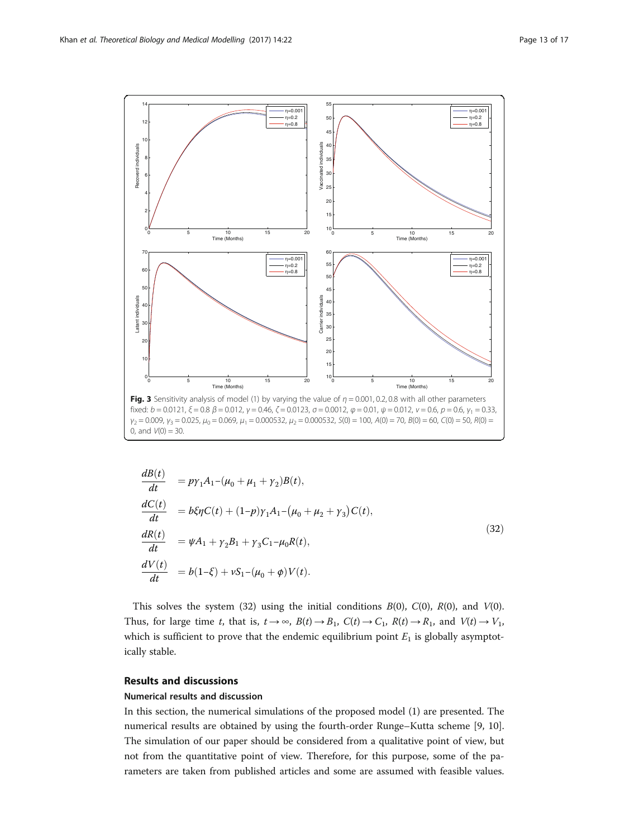<span id="page-12-0"></span>

$$
\frac{dB(t)}{dt} = p\gamma_1 A_1 - (\mu_0 + \mu_1 + \gamma_2)B(t),
$$
\n
$$
\frac{dC(t)}{dt} = b\xi\eta C(t) + (1-p)\gamma_1 A_1 - (\mu_0 + \mu_2 + \gamma_3)C(t),
$$
\n
$$
\frac{dR(t)}{dt} = \psi A_1 + \gamma_2 B_1 + \gamma_3 C_1 - \mu_0 R(t),
$$
\n
$$
\frac{dV(t)}{dt} = b(1-\xi) + \nu S_1 - (\mu_0 + \phi)V(t).
$$
\n(32)

This solves the system (32) using the initial conditions  $B(0)$ ,  $C(0)$ ,  $R(0)$ , and  $V(0)$ . Thus, for large time t, that is,  $t \to \infty$ ,  $B(t) \to B_1$ ,  $C(t) \to C_1$ ,  $R(t) \to R_1$ , and  $V(t) \to V_1$ , which is sufficient to prove that the endemic equilibrium point  $E_1$  is globally asymptotically stable.

## Results and discussions

## Numerical results and discussion

In this section, the numerical simulations of the proposed model (1) are presented. The numerical results are obtained by using the fourth-order Runge–Kutta scheme [[9, 10](#page-16-0)]. The simulation of our paper should be considered from a qualitative point of view, but not from the quantitative point of view. Therefore, for this purpose, some of the parameters are taken from published articles and some are assumed with feasible values.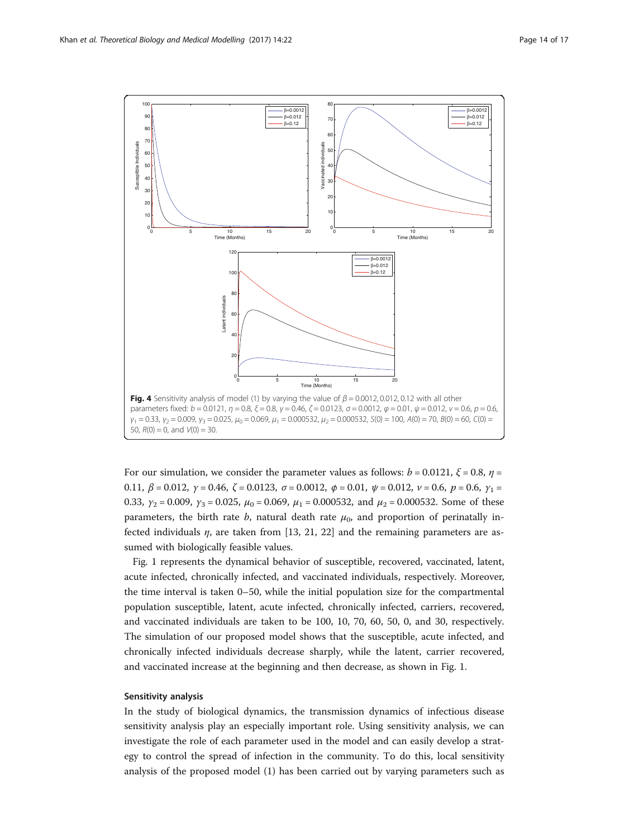<span id="page-13-0"></span>

For our simulation, we consider the parameter values as follows:  $b = 0.0121$ ,  $\xi = 0.8$ ,  $\eta =$ 0.11,  $β = 0.012$ ,  $γ = 0.46$ ,  $ζ = 0.0123$ ,  $σ = 0.0012$ ,  $φ = 0.01$ ,  $ψ = 0.012$ ,  $ν = 0.6$ ,  $p = 0.6$ ,  $γ_1 =$ 0.33,  $\gamma_2$  = 0.009,  $\gamma_3$  = 0.025,  $\mu_0$  = 0.069,  $\mu_1$  = 0.000532, and  $\mu_2$  = 0.000532. Some of these parameters, the birth rate b, natural death rate  $\mu_0$ , and proportion of perinatally infected individuals  $\eta$ , are taken from [[13, 21](#page-16-0), [22\]](#page-16-0) and the remaining parameters are assumed with biologically feasible values.

Fig. [1](#page-10-0) represents the dynamical behavior of susceptible, recovered, vaccinated, latent, acute infected, chronically infected, and vaccinated individuals, respectively. Moreover, the time interval is taken 0–50, while the initial population size for the compartmental population susceptible, latent, acute infected, chronically infected, carriers, recovered, and vaccinated individuals are taken to be 100, 10, 70, 60, 50, 0, and 30, respectively. The simulation of our proposed model shows that the susceptible, acute infected, and chronically infected individuals decrease sharply, while the latent, carrier recovered, and vaccinated increase at the beginning and then decrease, as shown in Fig. [1](#page-10-0).

## Sensitivity analysis

In the study of biological dynamics, the transmission dynamics of infectious disease sensitivity analysis play an especially important role. Using sensitivity analysis, we can investigate the role of each parameter used in the model and can easily develop a strategy to control the spread of infection in the community. To do this, local sensitivity analysis of the proposed model (1) has been carried out by varying parameters such as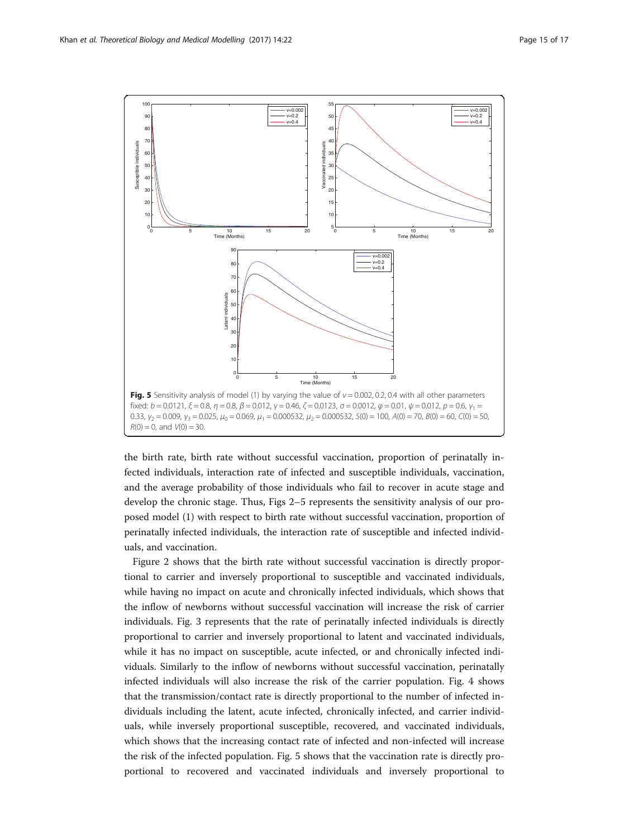

the birth rate, birth rate without successful vaccination, proportion of perinatally infected individuals, interaction rate of infected and susceptible individuals, vaccination, and the average probability of those individuals who fail to recover in acute stage and develop the chronic stage. Thus, Figs [2](#page-11-0)–5 represents the sensitivity analysis of our proposed model (1) with respect to birth rate without successful vaccination, proportion of perinatally infected individuals, the interaction rate of susceptible and infected individuals, and vaccination.

Figure [2](#page-11-0) shows that the birth rate without successful vaccination is directly proportional to carrier and inversely proportional to susceptible and vaccinated individuals, while having no impact on acute and chronically infected individuals, which shows that the inflow of newborns without successful vaccination will increase the risk of carrier individuals. Fig. [3](#page-12-0) represents that the rate of perinatally infected individuals is directly proportional to carrier and inversely proportional to latent and vaccinated individuals, while it has no impact on susceptible, acute infected, or and chronically infected individuals. Similarly to the inflow of newborns without successful vaccination, perinatally infected individuals will also increase the risk of the carrier population. Fig. [4](#page-13-0) shows that the transmission/contact rate is directly proportional to the number of infected individuals including the latent, acute infected, chronically infected, and carrier individuals, while inversely proportional susceptible, recovered, and vaccinated individuals, which shows that the increasing contact rate of infected and non-infected will increase the risk of the infected population. Fig. 5 shows that the vaccination rate is directly proportional to recovered and vaccinated individuals and inversely proportional to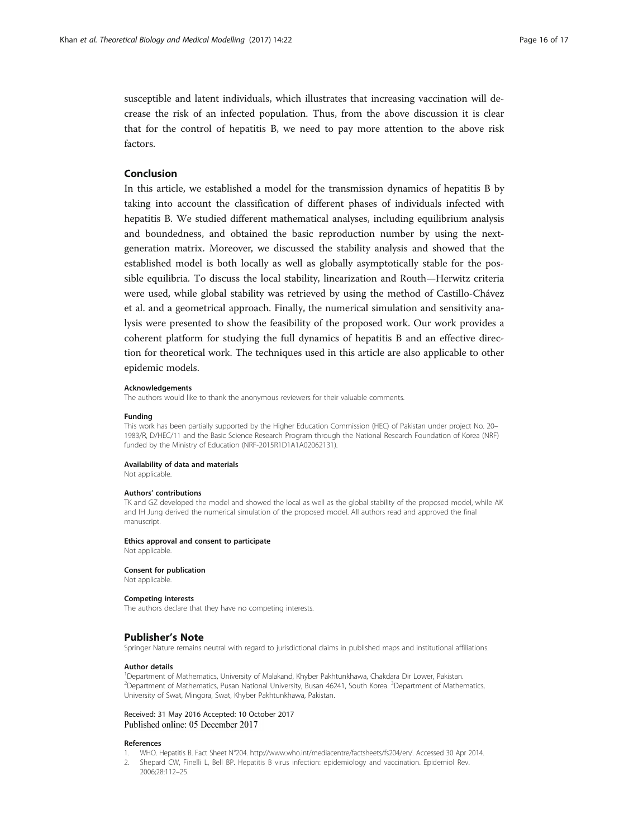<span id="page-15-0"></span>susceptible and latent individuals, which illustrates that increasing vaccination will decrease the risk of an infected population. Thus, from the above discussion it is clear that for the control of hepatitis B, we need to pay more attention to the above risk factors.

## Conclusion

In this article, we established a model for the transmission dynamics of hepatitis B by taking into account the classification of different phases of individuals infected with hepatitis B. We studied different mathematical analyses, including equilibrium analysis and boundedness, and obtained the basic reproduction number by using the nextgeneration matrix. Moreover, we discussed the stability analysis and showed that the established model is both locally as well as globally asymptotically stable for the possible equilibria. To discuss the local stability, linearization and Routh—Herwitz criteria were used, while global stability was retrieved by using the method of Castillo-Chávez et al. and a geometrical approach. Finally, the numerical simulation and sensitivity analysis were presented to show the feasibility of the proposed work. Our work provides a coherent platform for studying the full dynamics of hepatitis B and an effective direction for theoretical work. The techniques used in this article are also applicable to other epidemic models.

#### Acknowledgements

The authors would like to thank the anonymous reviewers for their valuable comments.

### Funding

This work has been partially supported by the Higher Education Commission (HEC) of Pakistan under project No. 20– 1983/R, D/HEC/11 and the Basic Science Research Program through the National Research Foundation of Korea (NRF) funded by the Ministry of Education (NRF-2015R1D1A1A02062131).

#### Availability of data and materials

Not applicable.

## Authors' contributions

TK and GZ developed the model and showed the local as well as the global stability of the proposed model, while AK and IH Jung derived the numerical simulation of the proposed model. All authors read and approved the final manuscript.

## Ethics approval and consent to participate

Not applicable.

## Consent for publication

Not applicable.

## Competing interests

The authors declare that they have no competing interests.

## Publisher's Note

Springer Nature remains neutral with regard to jurisdictional claims in published maps and institutional affiliations.

## Author details

<sup>1</sup>Department of Mathematics, University of Malakand, Khyber Pakhtunkhawa, Chakdara Dir Lower, Pakistan. <sup>2</sup>Department of Mathematics, Pusan National University, Busan 46241, South Korea. <sup>3</sup>Department of Mathematics, University of Swat, Mingora, Swat, Khyber Pakhtunkhawa, Pakistan.

## Received: 31 May 2016 Accepted: 10 October 2017

## References

- 1. WHO. Hepatitis B. Fact Sheet N°204. [http://www.who.int/mediacentre/factsheets/fs204/en/.](http://www.who.int/mediacentre/factsheets/fs204/en/) Accessed 30 Apr 2014.
- 2. Shepard CW, Finelli L, Bell BP. Hepatitis B virus infection: epidemiology and vaccination. Epidemiol Rev. 2006;28:112–25.